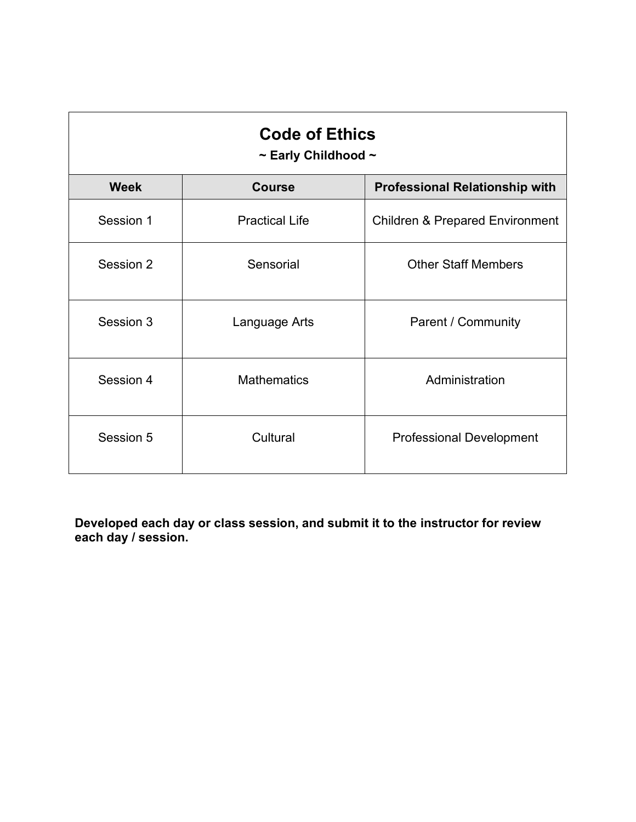| <b>Code of Ethics</b><br>$\sim$ Early Childhood $\sim$ |                       |                                            |
|--------------------------------------------------------|-----------------------|--------------------------------------------|
| <b>Week</b>                                            | <b>Course</b>         | <b>Professional Relationship with</b>      |
| Session 1                                              | <b>Practical Life</b> | <b>Children &amp; Prepared Environment</b> |
| Session 2                                              | Sensorial             | <b>Other Staff Members</b>                 |
| Session 3                                              | Language Arts         | Parent / Community                         |
| Session 4                                              | <b>Mathematics</b>    | Administration                             |
| Session 5                                              | Cultural              | <b>Professional Development</b>            |

**Developed each day or class session, and submit it to the instructor for review each day / session.**